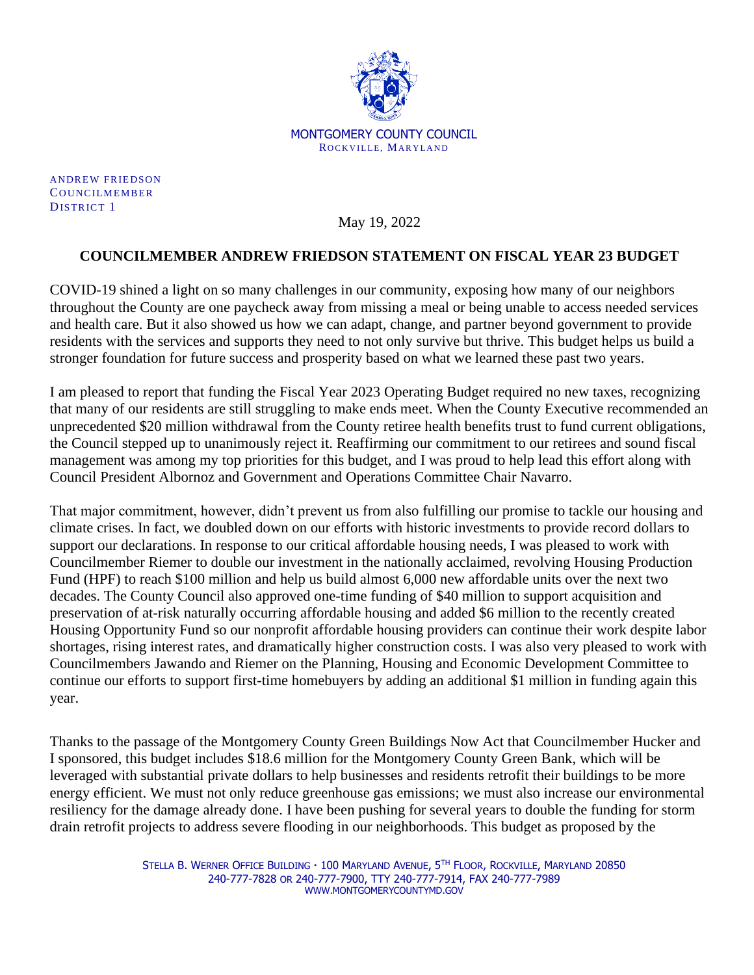

**ANDREW FRIEDSON** COUNCILMEMBER DISTRICT 1

May 19, 2022

## **COUNCILMEMBER ANDREW FRIEDSON STATEMENT ON FISCAL YEAR 23 BUDGET**

COVID-19 shined a light on so many challenges in our community, exposing how many of our neighbors throughout the County are one paycheck away from missing a meal or being unable to access needed services and health care. But it also showed us how we can adapt, change, and partner beyond government to provide residents with the services and supports they need to not only survive but thrive. This budget helps us build a stronger foundation for future success and prosperity based on what we learned these past two years.

I am pleased to report that funding the Fiscal Year 2023 Operating Budget required no new taxes, recognizing that many of our residents are still struggling to make ends meet. When the County Executive recommended an unprecedented \$20 million withdrawal from the County retiree health benefits trust to fund current obligations, the Council stepped up to unanimously reject it. Reaffirming our commitment to our retirees and sound fiscal management was among my top priorities for this budget, and I was proud to help lead this effort along with Council President Albornoz and Government and Operations Committee Chair Navarro.

That major commitment, however, didn't prevent us from also fulfilling our promise to tackle our housing and climate crises. In fact, we doubled down on our efforts with historic investments to provide record dollars to support our declarations. In response to our critical affordable housing needs, I was pleased to work with Councilmember Riemer to double our investment in the nationally acclaimed, revolving Housing Production Fund (HPF) to reach \$100 million and help us build almost 6,000 new affordable units over the next two decades. The County Council also approved one-time funding of \$40 million to support acquisition and preservation of at-risk naturally occurring affordable housing and added \$6 million to the recently created Housing Opportunity Fund so our nonprofit affordable housing providers can continue their work despite labor shortages, rising interest rates, and dramatically higher construction costs. I was also very pleased to work with Councilmembers Jawando and Riemer on the Planning, Housing and Economic Development Committee to continue our efforts to support first-time homebuyers by adding an additional \$1 million in funding again this year.

Thanks to the passage of the Montgomery County Green Buildings Now Act that Councilmember Hucker and I sponsored, this budget includes \$18.6 million for the Montgomery County Green Bank, which will be leveraged with substantial private dollars to help businesses and residents retrofit their buildings to be more energy efficient. We must not only reduce greenhouse gas emissions; we must also increase our environmental resiliency for the damage already done. I have been pushing for several years to double the funding for storm drain retrofit projects to address severe flooding in our neighborhoods. This budget as proposed by the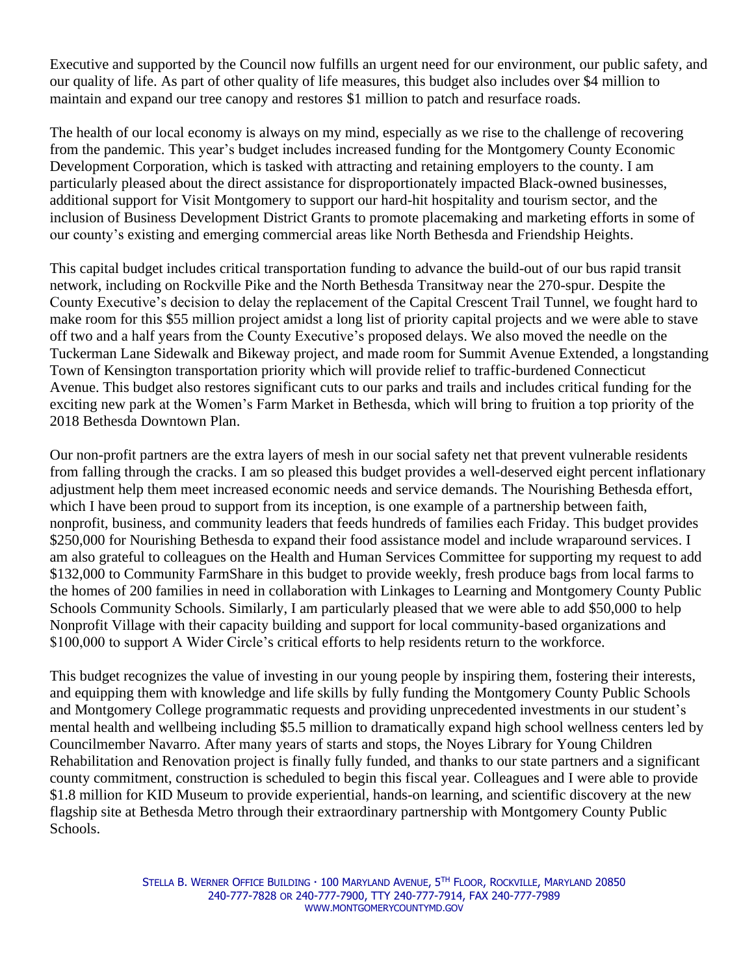Executive and supported by the Council now fulfills an urgent need for our environment, our public safety, and our quality of life. As part of other quality of life measures, this budget also includes over \$4 million to maintain and expand our tree canopy and restores \$1 million to patch and resurface roads.

The health of our local economy is always on my mind, especially as we rise to the challenge of recovering from the pandemic. This year's budget includes increased funding for the Montgomery County Economic Development Corporation, which is tasked with attracting and retaining employers to the county. I am particularly pleased about the direct assistance for disproportionately impacted Black-owned businesses, additional support for Visit Montgomery to support our hard-hit hospitality and tourism sector, and the inclusion of Business Development District Grants to promote placemaking and marketing efforts in some of our county's existing and emerging commercial areas like North Bethesda and Friendship Heights.

This capital budget includes critical transportation funding to advance the build-out of our bus rapid transit network, including on Rockville Pike and the North Bethesda Transitway near the 270-spur. Despite the County Executive's decision to delay the replacement of the Capital Crescent Trail Tunnel, we fought hard to make room for this \$55 million project amidst a long list of priority capital projects and we were able to stave off two and a half years from the County Executive's proposed delays. We also moved the needle on the Tuckerman Lane Sidewalk and Bikeway project, and made room for Summit Avenue Extended, a longstanding Town of Kensington transportation priority which will provide relief to traffic-burdened Connecticut Avenue. This budget also restores significant cuts to our parks and trails and includes critical funding for the exciting new park at the Women's Farm Market in Bethesda, which will bring to fruition a top priority of the 2018 Bethesda Downtown Plan.

Our non-profit partners are the extra layers of mesh in our social safety net that prevent vulnerable residents from falling through the cracks. I am so pleased this budget provides a well-deserved eight percent inflationary adjustment help them meet increased economic needs and service demands. The Nourishing Bethesda effort, which I have been proud to support from its inception, is one example of a partnership between faith, nonprofit, business, and community leaders that feeds hundreds of families each Friday. This budget provides \$250,000 for Nourishing Bethesda to expand their food assistance model and include wraparound services. I am also grateful to colleagues on the Health and Human Services Committee for supporting my request to add \$132,000 to Community FarmShare in this budget to provide weekly, fresh produce bags from local farms to the homes of 200 families in need in collaboration with Linkages to Learning and Montgomery County Public Schools Community Schools. Similarly, I am particularly pleased that we were able to add \$50,000 to help Nonprofit Village with their capacity building and support for local community-based organizations and \$100,000 to support A Wider Circle's critical efforts to help residents return to the workforce.

This budget recognizes the value of investing in our young people by inspiring them, fostering their interests, and equipping them with knowledge and life skills by fully funding the Montgomery County Public Schools and Montgomery College programmatic requests and providing unprecedented investments in our student's mental health and wellbeing including \$5.5 million to dramatically expand high school wellness centers led by Councilmember Navarro. After many years of starts and stops, the Noyes Library for Young Children Rehabilitation and Renovation project is finally fully funded, and thanks to our state partners and a significant county commitment, construction is scheduled to begin this fiscal year. Colleagues and I were able to provide \$1.8 million for KID Museum to provide experiential, hands-on learning, and scientific discovery at the new flagship site at Bethesda Metro through their extraordinary partnership with Montgomery County Public Schools.